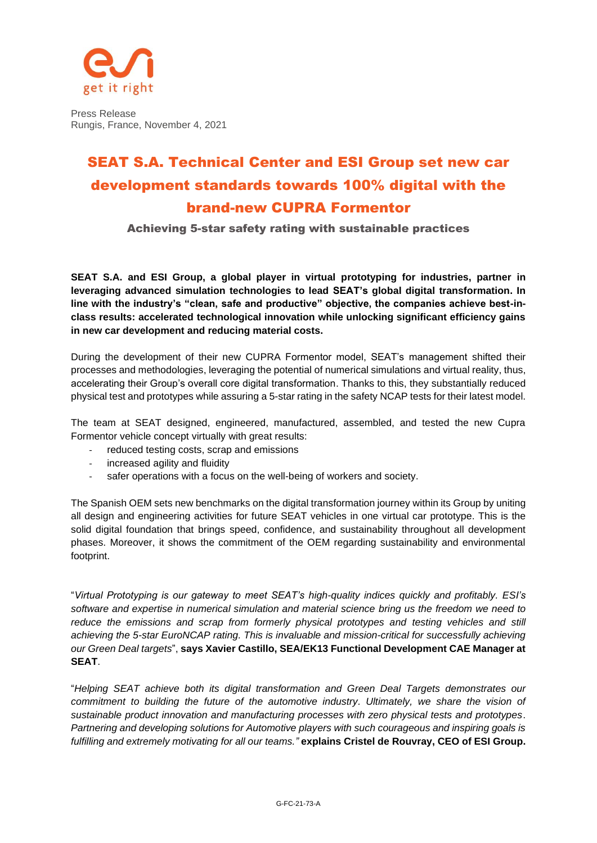

Press Release Rungis, France, November 4, 2021

## SEAT S.A. Technical Center and ESI Group set new car development standards towards 100% digital with the brand-new CUPRA Formentor

Achieving 5-star safety rating with sustainable practices

**SEAT S.A. and ESI Group, a global player in virtual prototyping for industries, partner in leveraging advanced simulation technologies to lead SEAT's global digital transformation. In line with the industry's "clean, safe and productive" objective, the companies achieve best-inclass results: accelerated technological innovation while unlocking significant efficiency gains in new car development and reducing material costs.**

During the development of their new CUPRA Formentor model, SEAT's management shifted their processes and methodologies, leveraging the potential of numerical simulations and virtual reality, thus, accelerating their Group's overall core digital transformation. Thanks to this, they substantially reduced physical test and prototypes while assuring a 5-star rating in the safety NCAP tests for their latest model.

The team at SEAT designed, engineered, manufactured, assembled, and tested the new Cupra Formentor vehicle concept virtually with great results:

- reduced testing costs, scrap and emissions
- increased agility and fluidity
- safer operations with a focus on the well-being of workers and society.

The Spanish OEM sets new benchmarks on the digital transformation journey within its Group by uniting all design and engineering activities for future SEAT vehicles in one virtual car prototype. This is the solid digital foundation that brings speed, confidence, and sustainability throughout all development phases. Moreover, it shows the commitment of the OEM regarding sustainability and environmental footprint.

"*Virtual Prototyping is our gateway to meet SEAT's high-quality indices quickly and profitably. ESI's software and expertise in numerical simulation and material science bring us the freedom we need to reduce the emissions and scrap from formerly physical prototypes and testing vehicles and still achieving the 5-star EuroNCAP rating. This is invaluable and mission-critical for successfully achieving our Green Deal targets*", **says Xavier Castillo, SEA/EK13 Functional Development CAE Manager at SEAT**.

"*Helping SEAT achieve both its digital transformation and Green Deal Targets demonstrates our commitment to building the future of the automotive industry. Ultimately, we share the vision of sustainable product innovation and manufacturing processes with zero physical tests and prototypes*. *Partnering and developing solutions for Automotive players with such courageous and inspiring goals is fulfilling and extremely motivating for all our teams."* **explains Cristel de Rouvray, CEO of ESI Group.**